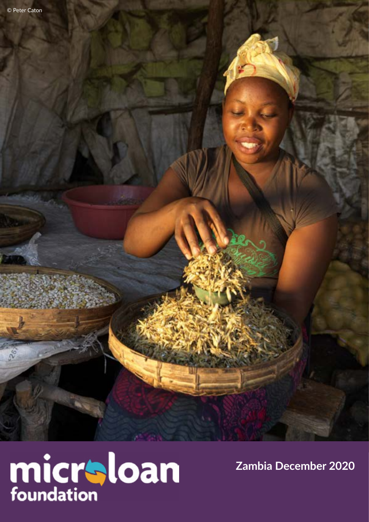å



**Zambia December 2020**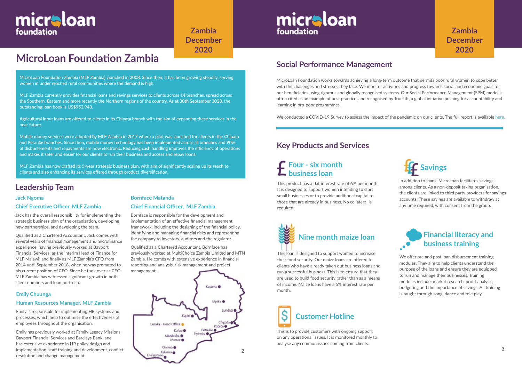

# **MicroLoan Foundation Zambia**

## **Leadership Team**

## **Jack Ngoma**

## **Chief Executive Officer, MLF Zambia**

Jack has the overall responsibility for implementing the strategic business plan of the organisation, developing new partnerships, and developing the team.

Qualified as a Chartered Accountant, Jack comes with several years of financial management and microfinance experience, having previously worked at Bayport Financial Services; as the interim Head of Finance for MLF Malawi; and finally as MLF Zambia's CFO from 2014 until September 2018, when he was promoted to his current position of CEO. Since he took over as CEO, MLF Zambia has witnessed significant growth in both client numbers and loan portfolio.

MicroLoan Foundation works towards achieving a long-term outcome that permits poor rural women to cope better with the challenges and stresses they face. We monitor activities and progress towards social and economic goals for our beneficiaries using rigorous and globally recognised systems. Our Social Performance Management (SPM) model is often cited as an example of best practice, and recognised by TrueLift, a global initiative pushing for accountability and learning in pro-poor programmes.

We conducted a COVID-19 Survey to assess the impact of the pandemic on our clients. The full report is available [her](https://www.microloanfoundation.org.uk/wp-content/uploads/2020/10/COVID-19-analysis_Zambia_FINAL.pdf)e.

# **Social Performance Management**

## **Bornface Matanda**

## **Chief Financial Officer, MLF Zambia**

Bornface is responsible for the development and implementation of an effective financial management framework, including the designing of the financial policy, identifying and managing financial risks and representing the company to investors, auditors and the regulator.

Qualified as a Chartered Accountant, Bornface has previously worked at MultiChoice Zambia Limited and MTN Zambia. He comes with extensive experience in financial reporting and analysis, risk management and project management.

We offer pre and post loan disbursement training modules. They aim to help clients understand the purpose of the loans and ensure they are equipped to run and manage their businesses. Training modules include: market research, profit analysis, budgeting and the importance of savings. All training is taught through song, dance and role play.

# micraloan foundation

**Zambia December 2020**

# **Four - six month business loan**<br>**Business loan**

MicroLoan Foundation Zambia (MLF Zambia) launched in 2008. Since then, it has been growing steadily, serving women in under reached rural communities where the demand is high.

MLF Zambia currently provides financial loans and savings services to clients across 14 branches, spread across the Southern, Eastern and more recently the Northern regions of the country. As at 30th September 2020, the outstanding loan book is US\$952,943.

Agricultural input loans are offered to clients in its Chipata branch with the aim of expanding these services in the near future.

Mobile money services were adopted by MLF Zambia in 2017 where a pilot was launched for clients in the Chipata and Petauke branches. Since then, mobile money technology has been implemented across all branches and 90% of disbursements and repayments are now electronic. Reducing cash handling improves the efficiency of operations and makes it safer and easier for our clients to run their business and access and repay loans.

MLF Zambia has now crafted its 5-year strategic business plan, with aim of significantly scaling up its reach to clients and also enhancing its services offered through product diversification.

# **Key Products and Services**



This is to provide customers with ongoing support on any operational issues. It is monitored monthly to analyse any common issues coming from clients.

# micraloan foundation

## **Financial literacy and**   $\cdot$ **business training**

This product has a flat interest rate of 6% per month. It is designed to support women intending to start small businesses or to provide additional capital to those that are already in business. No collateral is required.

In addition to loans, MicroLoan facilitates savings among clients. As a non-deposit taking organisation, the clients are linked to third party providers for savings accounts. These savings are available to withdraw at any time required, with consent from the group.

This loan is designed to support women to increase their food security. Our maize loans are offered to clients who have already taken out business loans and run a successful business. This is to ensure that they are used to build food security rather than as a means of income. Maize loans have a 5% interest rate per month.



## **Emily Chuunga**

## **Human Resources Manager, MLF Zambia**

Emily is responsible for implementing HR systems and processes, which help to optimise the effectiveness of employees throughout the organisation.

Emily has previously worked at Family Legacy Missions, Bayport Financial Services and Barclays Bank, and has extensive experience in HR policy design and implementation, staff training and development, conflict resolution and change management.

# **Zambia December 2020**